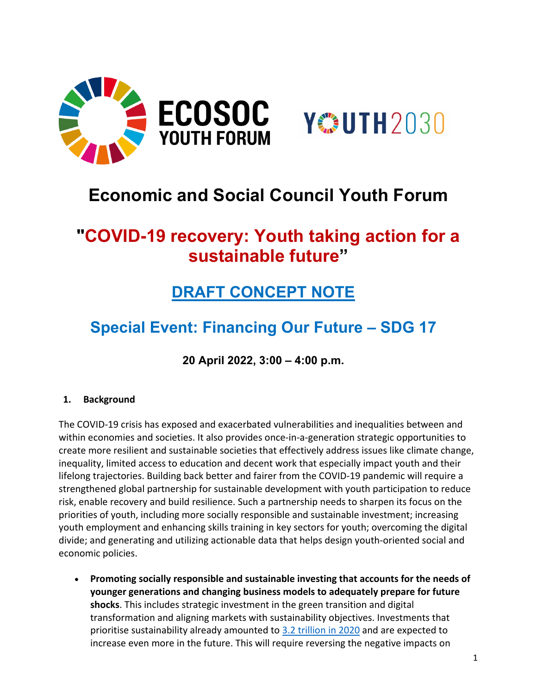

# **Economic and Social Council Youth Forum**

## **"COVID-19 recovery: Youth taking action for a sustainable future"**

## **DRAFT CONCEPT NOTE**

### **Special Event: Financing Our Future – SDG 17**

**20 April 2022, 3:00 – 4:00 p.m.**

#### **1. Background**

The COVID-19 crisis has exposed and exacerbated vulnerabilities and inequalities between and within economies and societies. It also provides once-in-a-generation strategic opportunities to create more resilient and sustainable societies that effectively address issues like climate change, inequality, limited access to education and decent work that especially impact youth and their lifelong trajectories. Building back better and fairer from the COVID-19 pandemic will require a strengthened global partnership for sustainable development with youth participation to reduce risk, enable recovery and build resilience. Such a partnership needs to sharpen its focus on the priorities of youth, including more socially responsible and sustainable investment; increasing youth employment and enhancing skills training in key sectors for youth; overcoming the digital divide; and generating and utilizing actionable data that helps design youth-oriented social and economic policies.

• **Promoting socially responsible and sustainable investing that accounts for the needs of younger generations and changing business models to adequately prepare for future shocks**. This includes strategic investment in the green transition and digital transformation and aligning markets with sustainability objectives. Investments that prioritise sustainability already amounted to [3.2 trillion in 2020](https://unctad.org/system/files/official-document/WIR2021_ch05_en.pdf) and are expected to increase even more in the future. This will require reversing the negative impacts on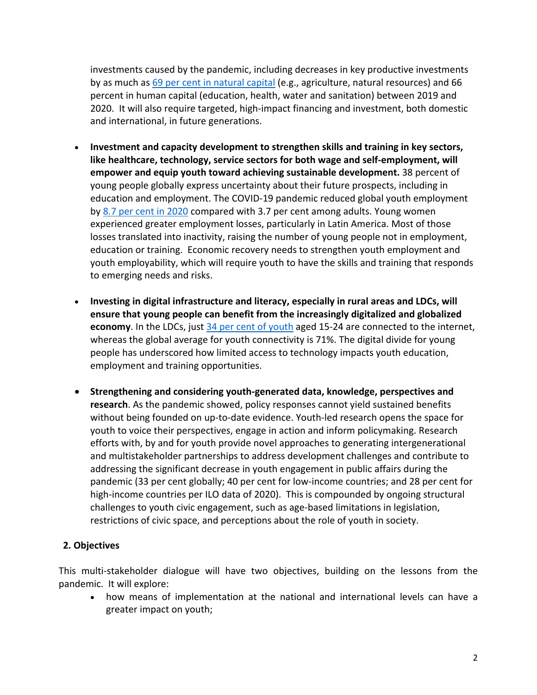investments caused by the pandemic, including decreases in key productive investments by as much a[s 69 per cent in natural capital](https://unctad.org/system/files/official-document/wir2021_en.pdf) (e.g., agriculture, natural resources) and 66 percent in human capital (education, health, water and sanitation) between 2019 and 2020. It will also require targeted, high-impact financing and investment, both domestic and international, in future generations.

- **Investment and capacity development to strengthen skills and training in key sectors, like healthcare, technology, service sectors for both wage and self-employment, will empower and equip youth toward achieving sustainable development.** 38 percent of young people globally express uncertainty about their future prospects, including in education and employment. The COVID-19 pandemic reduced global youth employment by [8.7 per cent in 2020](https://www.ilo.org/emppolicy/pubs/WCMS_795479/lang--en/index.htm) compared with 3.7 per cent among adults. Young women experienced greater employment losses, particularly in Latin America. Most of those losses translated into inactivity, raising the number of young people not in employment, education or training. Economic recovery needs to strengthen youth employment and youth employability, which will require youth to have the skills and training that responds to emerging needs and risks.
- **Investing in digital infrastructure and literacy, especially in rural areas and LDCs, will ensure that young people can benefit from the increasingly digitalized and globalized economy**. In the LDCs, just [34 per cent of youth](https://www.itu.int/en/ITU-D/Statistics/Documents/facts/FactsFigures2021.pdf) aged 15-24 are connected to the internet, whereas the global average for youth connectivity is 71%. The digital divide for young people has underscored how limited access to technology impacts youth education, employment and training opportunities.
- **Strengthening and considering youth-generated data, knowledge, perspectives and research**. As the pandemic showed, policy responses cannot yield sustained benefits without being founded on up-to-date evidence. Youth-led research opens the space for youth to voice their perspectives, engage in action and inform policymaking. Research efforts with, by and for youth provide novel approaches to generating intergenerational and multistakeholder partnerships to address development challenges and contribute to addressing the significant decrease in youth engagement in public affairs during the pandemic (33 per cent globally; 40 per cent for low-income countries; and 28 per cent for high-income countries per ILO data of 2020). This is compounded by ongoing structural challenges to youth civic engagement, such as age-based limitations in legislation, restrictions of civic space, and perceptions about the role of youth in society.

#### **2. Objectives**

This multi-stakeholder dialogue will have two objectives, building on the lessons from the pandemic. It will explore:

• how means of implementation at the national and international levels can have a greater impact on youth;